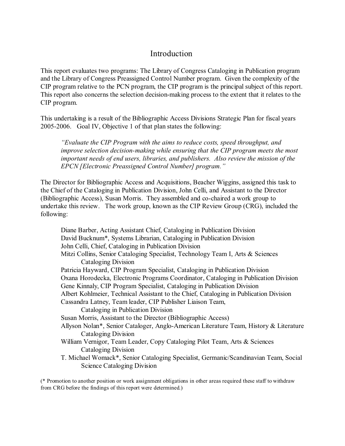# Introduction

This report evaluates two programs: The Library of Congress Cataloging in Publication program and the Library of Congress Preassigned Control Number program. Given the complexity of the CIP program relative to the PCN program, the CIP program is the principal subject of this report. This report also concerns the selection decision-making process to the extent that it relates to the CIP program.

This undertaking is a result of the Bibliographic Access Divisions Strategic Plan for fiscal years 2005-2006. Goal IV, Objective 1 of that plan states the following:

*"Evaluate the CIP Program with the aims to reduce costs, speed throughput, and improve selection decision-making while ensuring that the CIP program meets the most important needs of end users, libraries, and publishers. Also review the mission of the EPCN [Electronic Preassigned Control Number] program."*

The Director for Bibliographic Access and Acquisitions, Beacher Wiggins, assigned this task to the Chief of the Cataloging in Publication Division, John Celli, and Assistant to the Director (Bibliographic Access), Susan Morris. They assembled and co-chaired a work group to undertake this review. The work group, known as the CIP Review Group (CRG), included the following:

Diane Barber, Acting Assistant Chief, Cataloging in Publication Division David Bucknum\*, Systems Librarian, Cataloging in Publication Division John Celli, Chief, Cataloging in Publication Division Mitzi Collins, Senior Cataloging Specialist, Technology Team I, Arts & Sciences Cataloging Division Patricia Hayward, CIP Program Specialist, Cataloging in Publication Division Oxana Horodecka, Electronic Programs Coordinator, Cataloging in Publication Division Gene Kinnaly, CIP Program Specialist, Cataloging in Publication Division Albert Kohlmeier, Technical Assistant to the Chief, Cataloging in Publication Division Cassandra Latney, Team leader, CIP Publisher Liaison Team, Cataloging in Publication Division Susan Morris, Assistant to the Director (Bibliographic Access) Allyson Nolan\*, Senior Cataloger, Anglo-American Literature Team, History & Literature Cataloging Division William Vernigor, Team Leader, Copy Cataloging Pilot Team, Arts & Sciences Cataloging Division T. Michael Womack\*, Senior Cataloging Specialist, Germanic/Scandinavian Team, Social Science Cataloging Division

(\* Promotion to another position or work assignment obligations in other areas required these staff to withdraw from CRG before the findings of this report were determined.)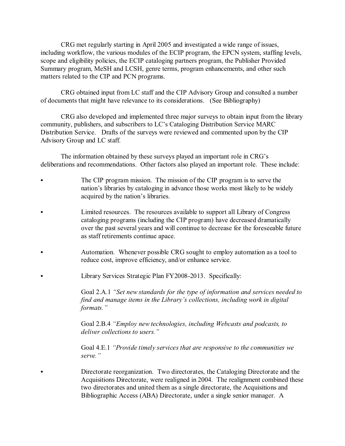CRG met regularly starting in April 2005 and investigated a wide range of issues, including workflow, the various modules of the ECIP program, the EPCN system, staffing levels, scope and eligibility policies, the ECIP cataloging partners program, the Publisher Provided Summary program, MeSH and LCSH, genre terms, program enhancements, and other such matters related to the CIP and PCN programs.

CRG obtained input from LC staff and the CIP Advisory Group and consulted a number of documents that might have relevance to its considerations. (See Bibliography)

CRG also developed and implemented three major surveys to obtain input from the library community, publishers, and subscribers to LC's Cataloging Distribution Service MARC Distribution Service. Drafts of the surveys were reviewed and commented upon by the CIP Advisory Group and LC staff.

The information obtained by these surveys played an important role in CRG's deliberations and recommendations. Other factors also played an important role. These include:

- The CIP program mission. The mission of the CIP program is to serve the nation's libraries by cataloging in advance those works most likely to be widely acquired by the nation's libraries.
- Limited resources. The resources available to support all Library of Congress cataloging programs (including the CIP program) have decreased dramatically over the past several years and will continue to decrease for the foreseeable future as staff retirements continue apace.
- Automation. Whenever possible CRG sought to employ automation as a tool to reduce cost, improve efficiency, and/or enhance service.
- Library Services Strategic Plan FY2008-2013. Specifically:

Goal 2.A.1 *"Set new standards for the type of information and services needed to find and manage items in the Library's collections, including work in digital formats."*

Goal 2.B.4 *"Employ new technologies, including Webcasts and podcasts, to deliver collections to users."*

Goal 4.E.1 *"Provide timely services that are responsive to the communities we serve."* 

Directorate reorganization. Two directorates, the Cataloging Directorate and the Acquisitions Directorate, were realigned in 2004. The realignment combined these two directorates and united them as a single directorate, the Acquisitions and Bibliographic Access (ABA) Directorate, under a single senior manager. A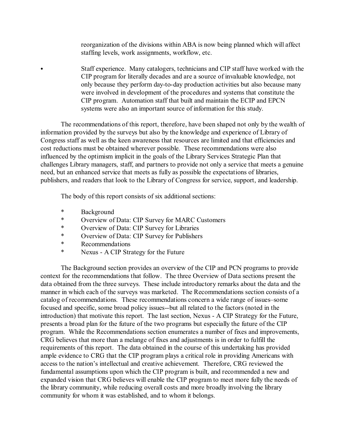reorganization of the divisions within ABA is now being planned which will affect staffing levels, work assignments, workflow, etc.

C Staff experience. Many catalogers, technicians and CIP staff have worked with the CIP program for literally decades and are a source of invaluable knowledge, not only because they perform day-to-day production activities but also because many were involved in development of the procedures and systems that constitute the CIP program. Automation staff that built and maintain the ECIP and EPCN systems were also an important source of information for this study.

The recommendations of this report, therefore, have been shaped not only by the wealth of information provided by the surveys but also by the knowledge and experience of Library of Congress staff as well as the keen awareness that resources are limited and that efficiencies and cost reductions must be obtained wherever possible. These recommendations were also influenced by the optimism implicit in the goals of the Library Services Strategic Plan that challenges Library managers, staff, and partners to provide not only a service that meets a genuine need, but an enhanced service that meets as fully as possible the expectations of libraries, publishers, and readers that look to the Library of Congress for service, support, and leadership.

The body of this report consists of six additional sections:

- \* Background<br>\* Overview of
- Overview of Data: CIP Survey for MARC Customers
- \* Overview of Data: CIP Survey for Libraries<br>Netwight CIP Survey for Publisher
- Overview of Data: CIP Survey for Publishers
- \* Recommendations
- \* Nexus A CIP Strategy for the Future

The Background section provides an overview of the CIP and PCN programs to provide context for the recommendations that follow. The three Overview of Data sections present the data obtained from the three surveys. These include introductory remarks about the data and the manner in which each of the surveys was marketed. The Recommendations section consists of a catalog of recommendations. These recommendations concern a wide range of issues–some focused and specific, some broad policy issues--but all related to the factors (noted in the introduction) that motivate this report. The last section, Nexus - A CIP Strategy for the Future, presents a broad plan for the future of the two programs but especially the future of the CIP program. While the Recommendations section enumerates a number of fixes and improvements, CRG believes that more than a melange of fixes and adjustments is in order to fulfill the requirements of this report. The data obtained in the course of this undertaking has provided ample evidence to CRG that the CIP program plays a critical role in providing Americans with access to the nation's intellectual and creative achievement. Therefore, CRG reviewed the fundamental assumptions upon which the CIP program is built, and recommended a new and expanded vision that CRG believes will enable the CIP program to meet more fully the needs of the library community, while reducing overall costs and more broadly involving the library community for whom it was established, and to whom it belongs.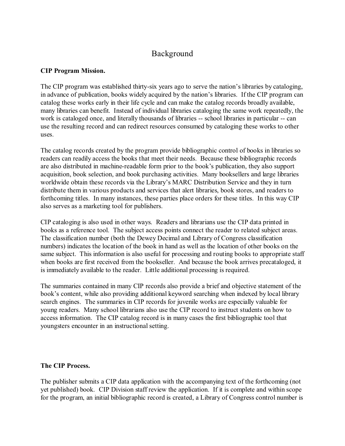# Background

#### **CIP Program Mission.**

The CIP program was established thirty-six years ago to serve the nation's libraries by cataloging, in advance of publication, books widely acquired by the nation's libraries. If the CIP program can catalog these works early in their life cycle and can make the catalog records broadly available, many libraries can benefit. Instead of individual libraries cataloging the same work repeatedly, the work is cataloged once, and literally thousands of libraries -- school libraries in particular -- can use the resulting record and can redirect resources consumed by cataloging these works to other uses.

The catalog records created by the program provide bibliographic control of books in libraries so readers can readily access the books that meet their needs. Because these bibliographic records are also distributed in machine-readable form prior to the book's publication, they also support acquisition, book selection, and book purchasing activities. Many booksellers and large libraries worldwide obtain these records via the Library's MARC Distribution Service and they in turn distribute them in various products and services that alert libraries, book stores, and readers to forthcoming titles. In many instances, these parties place orders for these titles. In this way CIP also serves as a marketing tool for publishers.

CIP cataloging is also used in other ways. Readers and librarians use the CIP data printed in books as a reference tool. The subject access points connect the reader to related subject areas. The classification number (both the Dewey Decimal and Library of Congress classification numbers) indicates the location of the book in hand as well as the location of other books on the same subject. This information is also useful for processing and routing books to appropriate staff when books are first received from the bookseller. And because the book arrives precataloged, it is immediately available to the reader. Little additional processing is required.

The summaries contained in many CIP records also provide a brief and objective statement of the book's content, while also providing additional keyword searching when indexed by local library search engines. The summaries in CIP records for juvenile works are especially valuable for young readers. Many school librarians also use the CIP record to instruct students on how to access information. The CIP catalog record is in many cases the first bibliographic tool that youngsters encounter in an instructional setting.

#### **The CIP Process.**

The publisher submits a CIP data application with the accompanying text of the forthcoming (not yet published) book. CIP Division staff review the application. If it is complete and within scope for the program, an initial bibliographic record is created, a Library of Congress control number is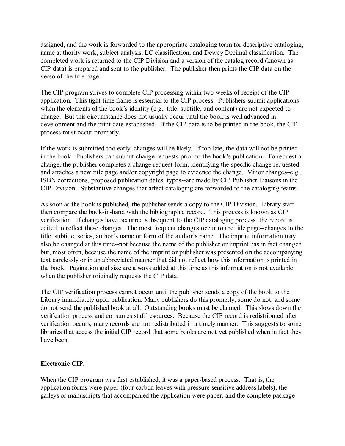assigned, and the work is forwarded to the appropriate cataloging team for descriptive cataloging, name authority work, subject analysis, LC classification, and Dewey Decimal classification. The completed work is returned to the CIP Division and a version of the catalog record (known as CIP data) is prepared and sent to the publisher. The publisher then prints the CIP data on the verso of the title page.

The CIP program strives to complete CIP processing within two weeks of receipt of the CIP application. This tight time frame is essential to the CIP process. Publishers submit applications when the elements of the book's identity (e.g., title, subtitle, and content) are not expected to change. But this circumstance does not usually occur until the book is well advanced in development and the print date established. If the CIP data is to be printed in the book, the CIP process must occur promptly.

If the work is submitted too early, changes will be likely. If too late, the data will not be printed in the book. Publishers can submit change requests prior to the book's publication. To request a change, the publisher completes a change request form, identifying the specific change requested and attaches a new title page and/or copyright page to evidence the change. Minor changes–e.g., ISBN corrections, proposed publication dates, typos--are made by CIP Publisher Liaisons in the CIP Division. Substantive changes that affect cataloging are forwarded to the cataloging teams.

As soon as the book is published, the publisher sends a copy to the CIP Division. Library staff then compare the book-in-hand with the bibliographic record. This process is known as CIP verification. If changes have occurred subsequent to the CIP cataloging process, the record is edited to reflect these changes. The most frequent changes occur to the title page--changes to the title, subtitle, series, author's name or form of the author's name. The imprint information may also be changed at this time--not because the name of the publisher or imprint has in fact changed but, most often, because the name of the imprint or publisher was presented on the accompanying text carelessly or in an abbreviated manner that did not reflect how this information is printed in the book. Pagination and size are always added at this time as this information is not available when the publisher originally requests the CIP data.

The CIP verification process cannot occur until the publisher sends a copy of the book to the Library immediately upon publication. Many publishers do this promptly, some do not, and some do not send the published book at all. Outstanding books must be claimed. This slows down the verification process and consumes staff resources. Because the CIP record is redistributed after verification occurs, many records are not redistributed in a timely manner. This suggests to some libraries that access the initial CIP record that some books are not yet published when in fact they have been.

# **Electronic CIP.**

When the CIP program was first established, it was a paper-based process. That is, the application forms were paper (four carbon leaves with pressure sensitive address labels), the galleys or manuscripts that accompanied the application were paper, and the complete package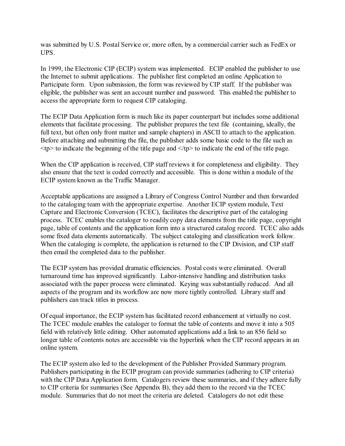was submitted by U.S. Postal Service or, more often, by a commercial carrier such as FedEx or UPS.

In 1999, the Electronic CIP (ECIP) system was implemented. ECIP enabled the publisher to use the Internet to submit applications. The publisher first completed an online Application to Participate form. Upon submission, the form was reviewed by CIP staff. If the publisher was eligible, the publisher was sent an account number and password. This enabled the publisher to access the appropriate form to request CIP cataloging.

The ECIP Data Application form is much like its paper counterpart but includes some additional elements that facilitate processing. The publisher prepares the text file (containing, ideally, the full text, but often only front matter and sample chapters) in ASCII to attach to the application. Before attaching and submitting the file, the publisher adds some basic code to the file such as  $\langle tp \rangle$  to indicate the beginning of the title page and  $\langle tp \rangle$  to indicate the end of the title page.

When the CIP application is received, CIP staff reviews it for completeness and eligibility. They also ensure that the text is coded correctly and accessible. This is done within a module of the ECIP system known as the Traffic Manager.

Acceptable applications are assigned a Library of Congress Control Number and then forwarded to the cataloging team with the appropriate expertise. Another ECIP system module, Text Capture and Electronic Conversion (TCEC), facilitates the descriptive part of the cataloging process. TCEC enables the cataloger to readily copy data elements from the title page, copyright page, table of contents and the application form into a structured catalog record. TCEC also adds some fixed data elements automatically. The subject cataloging and classification work follow. When the cataloging is complete, the application is returned to the CIP Division, and CIP staff then email the completed data to the publisher.

The ECIP system has provided dramatic efficiencies. Postal costs were eliminated. Overall turnaround time has improved significantly. Labor-intensive handling and distribution tasks associated with the paper process were eliminated. Keying was substantially reduced. And all aspects of the program and its workflow are now more tightly controlled. Library staff and publishers can track titles in process.

Of equal importance, the ECIP system has facilitated record enhancement at virtually no cost. The TCEC module enables the cataloger to format the table of contents and move it into a 505 field with relatively little editing. Other automated applications add a link to an 856 field so longer table of contents notes are accessible via the hyperlink when the CIP record appears in an online system.

The ECIP system also led to the development of the Publisher Provided Summary program. Publishers participating in the ECIP program can provide summaries (adhering to CIP criteria) with the CIP Data Application form. Catalogers review these summaries, and if they adhere fully to CIP criteria for summaries (See Appendix B), they add them to the record via the TCEC module. Summaries that do not meet the criteria are deleted. Catalogers do not edit these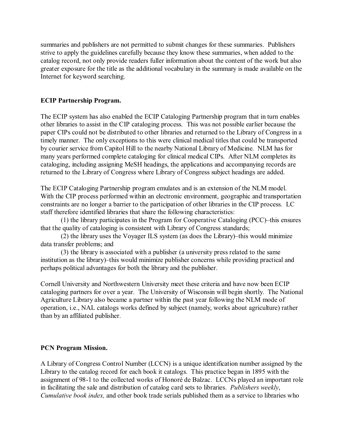summaries and publishers are not permitted to submit changes for these summaries. Publishers strive to apply the guidelines carefully because they know these summaries, when added to the catalog record, not only provide readers fuller information about the content of the work but also greater exposure for the title as the additional vocabulary in the summary is made available on the Internet for keyword searching.

#### **ECIP Partnership Program.**

The ECIP system has also enabled the ECIP Cataloging Partnership program that in turn enables other libraries to assist in the CIP cataloging process. This was not possible earlier because the paper CIPs could not be distributed to other libraries and returned to the Library of Congress in a timely manner. The only exceptions to this were clinical medical titles that could be transported by courier service from Capitol Hill to the nearby National Library of Medicine. NLM has for many years performed complete cataloging for clinical medical CIPs. After NLM completes its cataloging, including assigning MeSH headings, the applications and accompanying records are returned to the Library of Congress where Library of Congress subject headings are added.

The ECIP Cataloging Partnership program emulates and is an extension of the NLM model. With the CIP process performed within an electronic environment, geographic and transportation constraints are no longer a barrier to the participation of other libraries in the CIP process. LC staff therefore identified libraries that share the following characteristics:

(1) the library participates in the Program for Cooperative Cataloging (PCC)–this ensures that the quality of cataloging is consistent with Library of Congress standards;

(2) the library uses the Voyager ILS system (as does the Library)–this would minimize data transfer problems; and

(3) the library is associated with a publisher (a university press related to the same institution as the library)–this would minimize publisher concerns while providing practical and perhaps political advantages for both the library and the publisher.

Cornell University and Northwestern University meet these criteria and have now been ECIP cataloging partners for over a year. The University of Wisconsin will begin shortly. The National Agriculture Library also became a partner within the past year following the NLM mode of operation, i.e., NAL catalogs works defined by subject (namely, works about agriculture) rather than by an affiliated publisher.

# **PCN Program Mission.**

A Library of Congress Control Number (LCCN) is a unique identification number assigned by the Library to the catalog record for each book it catalogs. This practice began in 1895 with the assignment of 98-1 to the collected works of Honoré de Balzac. LCCNs played an important role in facilitating the sale and distribution of catalog card sets to libraries. *Publishers weekly*, *Cumulative book index,* and other book trade serials published them as a service to libraries who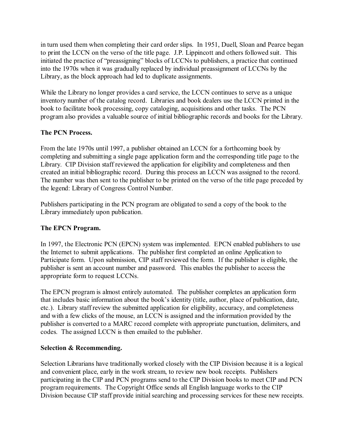in turn used them when completing their card order slips. In 1951, Duell, Sloan and Pearce began to print the LCCN on the verso of the title page. J.P. Lippincott and others followed suit. This initiated the practice of "preassigning" blocks of LCCNs to publishers, a practice that continued into the 1970s when it was gradually replaced by individual preassignment of LCCNs by the Library, as the block approach had led to duplicate assignments.

While the Library no longer provides a card service, the LCCN continues to serve as a unique inventory number of the catalog record. Libraries and book dealers use the LCCN printed in the book to facilitate book processing, copy cataloging, acquisitions and other tasks. The PCN program also provides a valuable source of initial bibliographic records and books for the Library.

# **The PCN Process.**

From the late 1970s until 1997, a publisher obtained an LCCN for a forthcoming book by completing and submitting a single page application form and the corresponding title page to the Library. CIP Division staff reviewed the application for eligibility and completeness and then created an initial bibliographic record. During this process an LCCN was assigned to the record. The number was then sent to the publisher to be printed on the verso of the title page preceded by the legend: Library of Congress Control Number.

Publishers participating in the PCN program are obligated to send a copy of the book to the Library immediately upon publication.

# **The EPCN Program.**

In 1997, the Electronic PCN (EPCN) system was implemented. EPCN enabled publishers to use the Internet to submit applications. The publisher first completed an online Application to Participate form. Upon submission, CIP staff reviewed the form. If the publisher is eligible, the publisher is sent an account number and password. This enables the publisher to access the appropriate form to request LCCNs.

The EPCN program is almost entirely automated. The publisher completes an application form that includes basic information about the book's identity (title, author, place of publication, date, etc.). Library staff review the submitted application for eligibility, accuracy, and completeness and with a few clicks of the mouse, an LCCN is assigned and the information provided by the publisher is converted to a MARC record complete with appropriate punctuation, delimiters, and codes. The assigned LCCN is then emailed to the publisher.

# **Selection & Recommending.**

Selection Librarians have traditionally worked closely with the CIP Division because it is a logical and convenient place, early in the work stream, to review new book receipts. Publishers participating in the CIP and PCN programs send to the CIP Division books to meet CIP and PCN program requirements. The Copyright Office sends all English language works to the CIP Division because CIP staff provide initial searching and processing services for these new receipts.